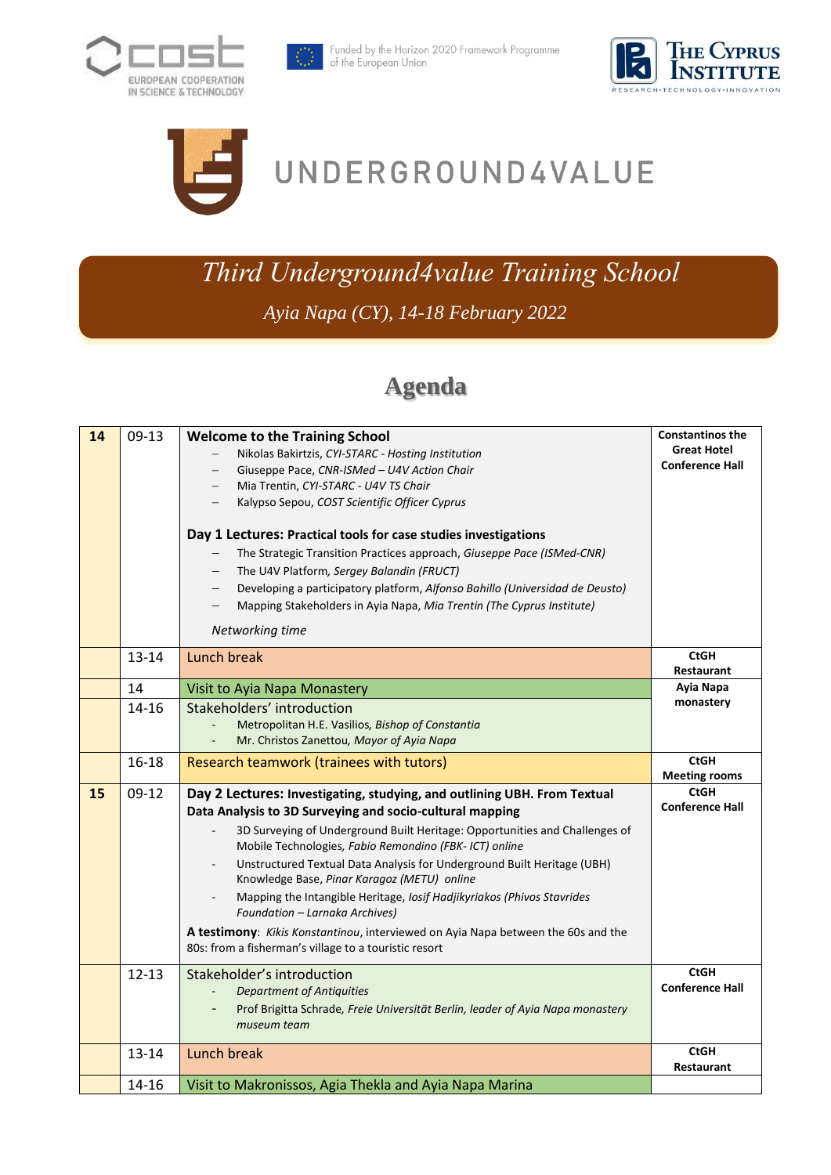







# UNDERGROUND4VALUE

## *Third Underground4value Training School*

*Ayia Napa (CY), 14-18 February 2022*

### **Agenda**

| 14 | $09-13$   | <b>Welcome to the Training School</b><br>Nikolas Bakirtzis, CYI-STARC - Hosting Institution<br>Giuseppe Pace, CNR-ISMed - U4V Action Chair<br>$\overline{\phantom{0}}$<br>Mia Trentin, CYI-STARC - U4V TS Chair<br>Kalypso Sepou, COST Scientific Officer Cyprus<br>Day 1 Lectures: Practical tools for case studies investigations<br>The Strategic Transition Practices approach, Giuseppe Pace (ISMed-CNR)<br>The U4V Platform, Sergey Balandin (FRUCT)<br>Developing a participatory platform, Alfonso Bahillo (Universidad de Deusto)<br>Mapping Stakeholders in Ayia Napa, Mia Trentin (The Cyprus Institute)<br>Networking time                            | <b>Constantinos the</b><br><b>Great Hotel</b><br><b>Conference Hall</b> |
|----|-----------|-------------------------------------------------------------------------------------------------------------------------------------------------------------------------------------------------------------------------------------------------------------------------------------------------------------------------------------------------------------------------------------------------------------------------------------------------------------------------------------------------------------------------------------------------------------------------------------------------------------------------------------------------------------------|-------------------------------------------------------------------------|
|    | $13 - 14$ | Lunch break                                                                                                                                                                                                                                                                                                                                                                                                                                                                                                                                                                                                                                                       | <b>CtGH</b><br>Restaurant                                               |
|    | 14        | Visit to Ayia Napa Monastery                                                                                                                                                                                                                                                                                                                                                                                                                                                                                                                                                                                                                                      | Ayia Napa                                                               |
|    | 14-16     | Stakeholders' introduction                                                                                                                                                                                                                                                                                                                                                                                                                                                                                                                                                                                                                                        | monastery                                                               |
|    |           | Metropolitan H.E. Vasilios, Bishop of Constantia                                                                                                                                                                                                                                                                                                                                                                                                                                                                                                                                                                                                                  |                                                                         |
|    |           | Mr. Christos Zanettou, Mayor of Ayia Napa                                                                                                                                                                                                                                                                                                                                                                                                                                                                                                                                                                                                                         | <b>CtGH</b>                                                             |
|    | $16 - 18$ | Research teamwork (trainees with tutors)                                                                                                                                                                                                                                                                                                                                                                                                                                                                                                                                                                                                                          | <b>Meeting rooms</b>                                                    |
| 15 | $09-12$   | Day 2 Lectures: Investigating, studying, and outlining UBH. From Textual<br>Data Analysis to 3D Surveying and socio-cultural mapping<br>3D Surveying of Underground Built Heritage: Opportunities and Challenges of<br>Mobile Technologies, Fabio Remondino (FBK- ICT) online<br>Unstructured Textual Data Analysis for Underground Built Heritage (UBH)<br>Knowledge Base, Pinar Karagoz (METU) online<br>Mapping the Intangible Heritage, Iosif Hadjikyriakos (Phivos Stavrides<br>Foundation - Larnaka Archives)<br>A testimony: Kikis Konstantinou, interviewed on Ayia Napa between the 60s and the<br>80s: from a fisherman's village to a touristic resort | CtGH<br><b>Conference Hall</b>                                          |
|    | $12 - 13$ | Stakeholder's introduction<br>Department of Antiquities<br>Prof Brigitta Schrade, Freie Universität Berlin, leader of Ayia Napa monastery<br>museum team                                                                                                                                                                                                                                                                                                                                                                                                                                                                                                          | <b>CtGH</b><br><b>Conference Hall</b>                                   |
|    | $13 - 14$ | Lunch break                                                                                                                                                                                                                                                                                                                                                                                                                                                                                                                                                                                                                                                       | <b>CtGH</b><br>Restaurant                                               |
|    | 14-16     | Visit to Makronissos, Agia Thekla and Ayia Napa Marina                                                                                                                                                                                                                                                                                                                                                                                                                                                                                                                                                                                                            |                                                                         |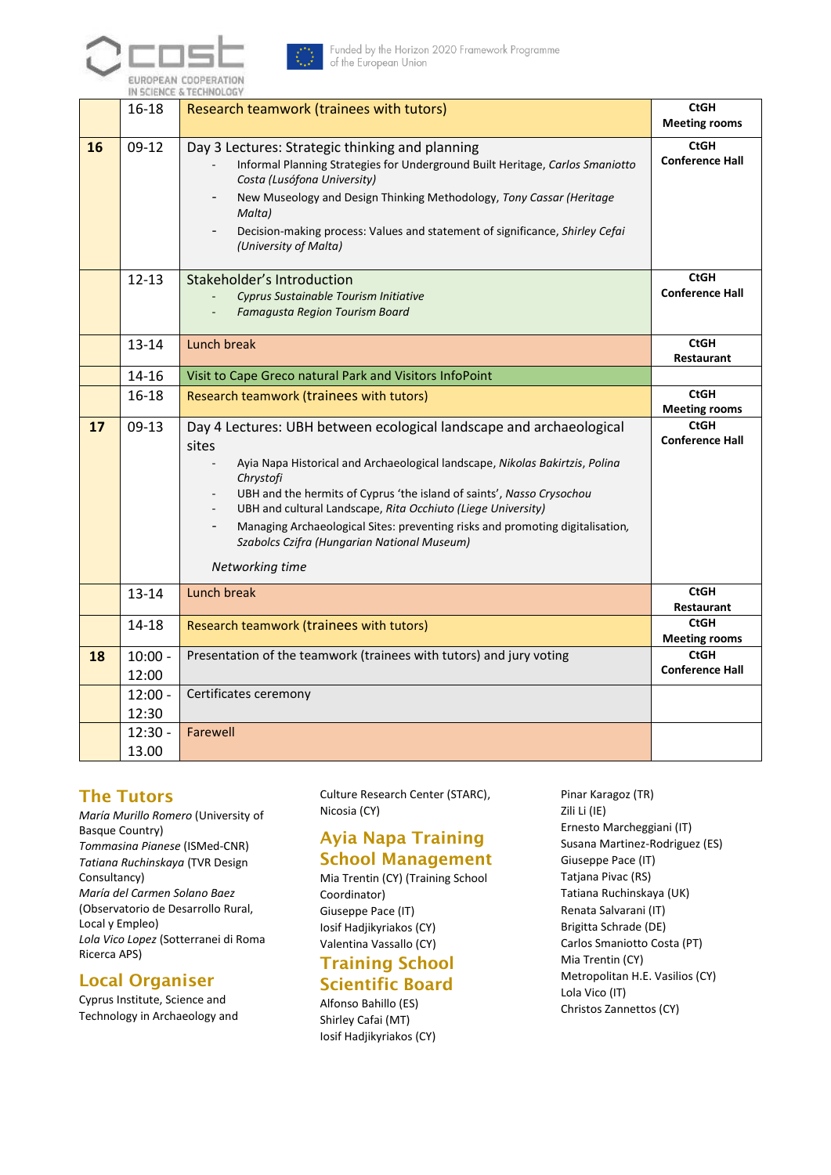



Funded by the Horizon 2020 Framework Programme of the European Union

|    |                    | IN SCIENCE & TECHNOLOGY                                                                                                                                                                                                                                                                                                                                                                                                                                               |                                                               |
|----|--------------------|-----------------------------------------------------------------------------------------------------------------------------------------------------------------------------------------------------------------------------------------------------------------------------------------------------------------------------------------------------------------------------------------------------------------------------------------------------------------------|---------------------------------------------------------------|
|    | $16 - 18$          | Research teamwork (trainees with tutors)                                                                                                                                                                                                                                                                                                                                                                                                                              | <b>CtGH</b><br><b>Meeting rooms</b>                           |
| 16 | $09-12$            | Day 3 Lectures: Strategic thinking and planning<br>Informal Planning Strategies for Underground Built Heritage, Carlos Smaniotto<br>Costa (Lusófona University)<br>New Museology and Design Thinking Methodology, Tony Cassar (Heritage<br>Malta)<br>Decision-making process: Values and statement of significance, Shirley Cefai<br>(University of Malta)                                                                                                            | <b>CtGH</b><br><b>Conference Hall</b>                         |
|    | $12 - 13$          | Stakeholder's Introduction<br>Cyprus Sustainable Tourism Initiative<br><b>Famagusta Region Tourism Board</b>                                                                                                                                                                                                                                                                                                                                                          | <b>CtGH</b><br><b>Conference Hall</b>                         |
|    | 13-14              | Lunch break                                                                                                                                                                                                                                                                                                                                                                                                                                                           | <b>CtGH</b><br><b>Restaurant</b>                              |
|    | 14-16              | Visit to Cape Greco natural Park and Visitors InfoPoint                                                                                                                                                                                                                                                                                                                                                                                                               |                                                               |
|    | $16 - 18$          | Research teamwork (trainees with tutors)                                                                                                                                                                                                                                                                                                                                                                                                                              | <b>CtGH</b>                                                   |
| 17 | $09-13$            | Day 4 Lectures: UBH between ecological landscape and archaeological<br>sites<br>Ayia Napa Historical and Archaeological landscape, Nikolas Bakirtzis, Polina<br>Chrystofi<br>UBH and the hermits of Cyprus 'the island of saints', Nasso Crysochou<br>UBH and cultural Landscape, Rita Occhiuto (Liege University)<br>Managing Archaeological Sites: preventing risks and promoting digitalisation,<br>Szabolcs Czifra (Hungarian National Museum)<br>Networking time | <b>Meeting rooms</b><br><b>CtGH</b><br><b>Conference Hall</b> |
|    | $13 - 14$          | Lunch break                                                                                                                                                                                                                                                                                                                                                                                                                                                           | <b>CtGH</b><br>Restaurant                                     |
|    | 14-18              | Research teamwork (trainees with tutors)                                                                                                                                                                                                                                                                                                                                                                                                                              | <b>CtGH</b><br><b>Meeting rooms</b>                           |
| 18 | $10:00 -$<br>12:00 | Presentation of the teamwork (trainees with tutors) and jury voting                                                                                                                                                                                                                                                                                                                                                                                                   | <b>CtGH</b><br><b>Conference Hall</b>                         |
|    | $12:00 -$<br>12:30 | Certificates ceremony                                                                                                                                                                                                                                                                                                                                                                                                                                                 |                                                               |
|    | $12:30 -$<br>13.00 | Farewell                                                                                                                                                                                                                                                                                                                                                                                                                                                              |                                                               |

#### The Tutors

*María Murillo Romero* (University of Basque Country) *Tommasina Pianese* (ISMed-CNR) *Tatiana Ruchinskaya* (TVR Design Consultancy) *María del Carmen Solano Baez*  (Observatorio de Desarrollo Rural, Local y Empleo) *Lola Vico Lopez* (Sotterranei di Roma Ricerca APS)

#### Local Organiser

Cyprus Institute, Science and Technology in Archaeology and Culture Research Center (STARC), Nicosia (CY)

#### Ayia Napa Training School Management

Mia Trentin (CY) (Training School Coordinator) Giuseppe Pace (IT) Iosif Hadjikyriakos (CY) Valentina Vassallo (CY) Training School

#### Scientific Board

Alfonso Bahillo (ES) Shirley Cafai (MT) Iosif Hadjikyriakos (CY) Pinar Karagoz (TR) Zili Li (IE) Ernesto Marcheggiani (IT) Susana Martinez-Rodriguez (ES) Giuseppe Pace (IT) Tatjana Pivac (RS) Tatiana Ruchinskaya (UK) Renata Salvarani (IT) Brigitta Schrade (DE) Carlos Smaniotto Costa (PT) Mia Trentin (CY) Metropolitan H.E. Vasilios (CY) Lola Vico (IT) Christos Zannettos (CY)